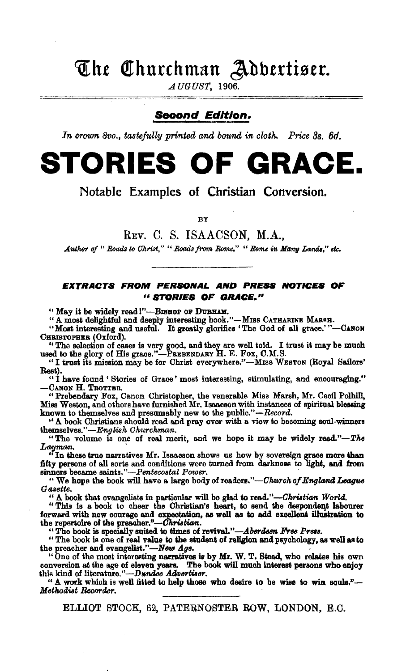## The Churchman Adbertiser.

AUGUST, 1906.

### Second Edition.

In crown 8vo., tastefully printed and bound in cloth. Price 3s. 6d.

# **STORIES OF GRACE.**

Notable Examples of Christian Conversion.

BY

REv. C. S. ISAACSON, M.A.,

Author of " Roads to Christ," " Roads from Rome," " Rome in Many Lands," etc.

### EXTRACTS FROM PERSONAL AND PRESS NOTICES OF "BTORIES OF GRACE."

" May it be widely read !"-BISHOP OF DURHAM.

"A most delightful and deeply interesting book."-MISS CATHARINE MARSH.

"Most interesting and useful. It greatly glorifies 'The God of all grace.'"-CANON CHRISTOPHER (Oxford).

*''* The selection of cases is very good, and they are well told. I trust it may be much used to the glory of His grace.''-PREBENDARY H. E. Fox, C.M.S.

"I trust its mission may be for Christ everywhere."-MISS WESTON (Royal Sailors' Rest).

"I have found ' Stories of Grace' most interesting, stimulating, and encouraging." -CANON H. TROTTER.

"Prebendary Fox, Canon Christopher, the venerable Miss Marsh, Mr. Cecil Polhill. Miss Weston, and others have furnished Mr. Isaacson with instances of spiritual blessing known to themselves and presumably new to the public."-Record.

<sup>\*</sup> A book Christians should read and pray over with a view to becoming soul-winners themselves."--English *Ohurchman.* 

"The volume is one of real merit, and we hope it may be widely read."-The *Latymam..* ,

"In these true narratives Mr. Isaacson shows us how by sovereign grace more than fifty persons of all sorts and conditions were turned from darkness to light, and from<br>sinners became saints."—Pentecostal Power.

" We hope the book will have a large body of readers."-*Church of England League Gassette.* 

" A book that evangelists in particular will be glad to read."--Christian World.

" This is a book to cheer the Christian's heart, to send the despondent labourer forward with new courage and expectation, as well as to add excellent illustration to the repertoire of the preacher."--*Christian*.

"The book is specially suited to times of revival."—*Aberdeen Free Press.* 

"The book is one of real value to the student of religion and psychology, as well as to the preacher and evangelist."— $New \; Age$ .

the preacher and eva.ngelist.''-New *Age.* . "One of the most interesting narratives is by Mr. W. T. Stead, who relates his own conversion at the age of eleven years. The book will much interest peraons who enjoy this kind of literature."-Dundee Advertiser.

"A work which is well fitted to help those who desire to be wise to win souls."- Methodist Recorder.

ELLIOT STOCK, 62, PATERNOSTER BOW, LONDON, E.O.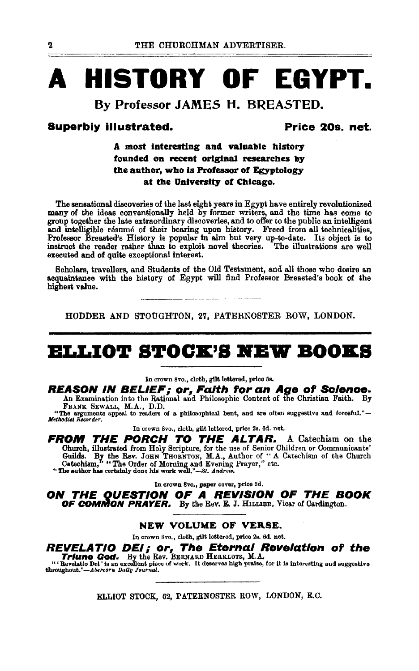# **A HISTORY OF EGYPT.**

## **By Professor JAMES H. BREASTED.**

### **Superbly Illustrated. Price 20s. net.**

### **A most Interesting and valuable history founded on reeent original researches by the author, who is Professor of Egyptology**  at the University of Chicago.

The sensational discoveries of the last eight years in Egypt have entirely revolutionized many of the ideas conventionally held by former writers, and the time has come to group together the late extraordinary discoveries, end to offer to the public en intelligent and intelligible resume of their bearing upon history. Freed from all technicalities, Professor Breasted's History is popular in aim but very up-to-date. Its object is to instruct the reader rather than to exploit novel theories. The illustrations are well executed and of quite exceptional interest.

Scholars, travellers, and Students of the Old Testament, and all those who desire en acquaintance with the history of Egypt will find Professor Breasted's book of the highest value.

HODDER AND STOUGHTON, 27, PATERNOSTER ROW, LONDON.

## **ELLIOT STOCK'S NEW BOOKS**

In crown Svo., cloth, gUt lettered, price 5s.

**REASON IN BELIEF; or, Faith for an Aae of Solence.**  An Examination into the Rational and Philosophic Content of the Christian Faith. By FRANK. SEWALL, M.A., D.D.

"The arguments appeal to readers of a philosophteal bent, and are often suggestive and forceful."-<br>*Methodist Recorder*,

In crown Svo., cloth, gilt lettered, price 2s. 6d. net.

**FROM THE PORCH TO THE ALTAR.** A Catechism on the Church, illustrated from Holy Scripture, for the use of Senior Children or Communicants'<br>Guilds. By the Rev. JOHN THORNTON, M.A., Author of "A Catechism of the Church<br>Catechism," "The Order of Morning and Evening Prayer,"

In crown 8vo., paper cover, price Sd.

**ON THE OUEST/ON OF A REVISION OF THE BOOK OF COMMON PRAYER.** By the Rev. E. J. HILLIER, Vicar of Cardington.

#### **NEW VOLUME OF VERSE.**

In crown 8vo., cloth, gilt lettered, price 2s. 6d. net.

## **REVELATIO DEl; or, The Eternal Revelation of the Triune God.** By the Rev. BERNARD HERKLOTs, M.A.

"' Bevelatio Del ' is an excellent piece of work. It deserves high praise, for it is interesting and suggestive throughout."-Abercorn *Dally Journal*.

ELLIOT STOCK, 62, PATERNOSTER ROW, LONDON, E.C.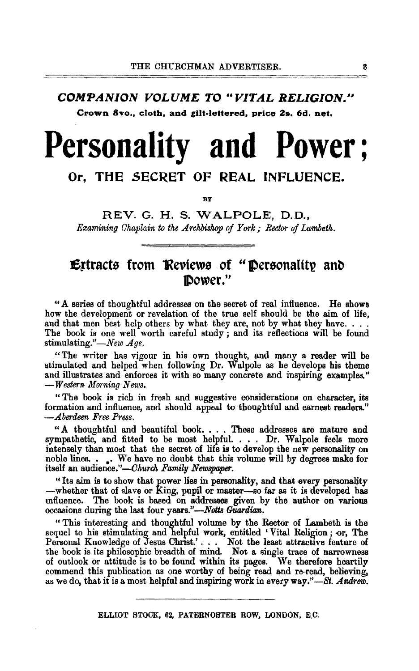### COMPANION VOLUME TO "VITAL RELIGION." Crown 8vo., cloth, and gilt-lettered, price 2s. 6d. net.

# **Personality and Power;**

### Or, THE SECRET OF REAL INFLUENCE.

BY

REV. G. H. S. WALPOLE, D. D., *Examining Chaplain to the Archbishop of York; Rector of Lambeth.* 

## $\mathbf E$ ttracts from Reviews of "Personality and Power."

"A series of thoughtful addresses on the secret of real influence. He shows how the development or revelation of the true self should be the aim of life, and that men best help others by what they are, not by what they have.... The book is one well worth careful study; and its reflections will be found stimulating." $\longrightarrow$ *New Age.* 

"The writer has vigour in his own thought, and many a reader will be stimulated and helped when following Dr. Walpole as he develops his theme and illustrates and enforces it with so many concrete and inspiring examples." *-Western Morning News.* 

" The book is rich in fresh and suggestive considerations on character, its formation and influence, and should appeal to thoughtful and earnest readers." *-Aberdeen Free Pt·ess.* 

" A thoughtful and beautiful book. . . . These addresses are mature and sympathetic, and fitted to be most helpful. . . . Dr. Walpole feels more intensely than most that the secret of life is to develop the new personality on noble lines. • •. We have no doubt that this volume will by degrees make for itself an audience."-Church Family Newspaper.

"Its aim is to show that power lies in personality, and that every personality whether that of slave or King, pupil or master-so far as it is developed has mfluence. The book is based on addresses given by the author on various occasions during the last four years."-Notts Guardian.

" This interesting and thoughtful volume by the Rector of Lambeth is the sequel to his stimulating and helpful work, entitled 'Vital Religion; or, The Personal Knowledge of Jesus Christ.'. . . Not the least attractive feature of the book is its philosophic breadth of mind. Not a single trace of narrowness of outlook or attitude is to be found within its pages. We therefore heartily commend this publication as one worthy of being read and re-read, believing, as we do, that it is a most helpful and inspiring work in every way."-St. *Andrew.* 

ELLIOT STOCK, 62, PATERNOSTER ROW, LONDON, E,C.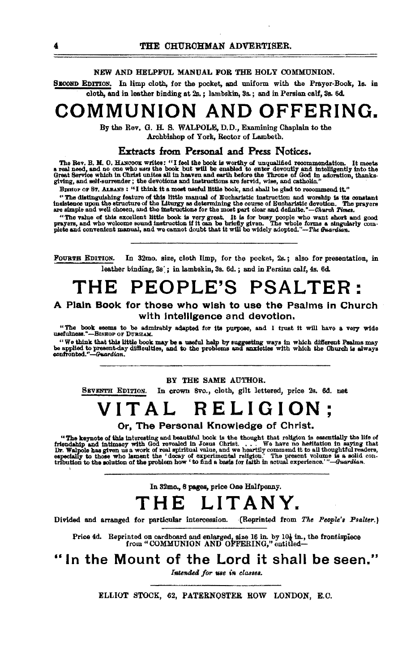#### NEW AND HELPFUL MANUAL FOR THE HOLY COMMUNION.

SECOND EDITION. In limp cloth, for the pocket, and uniform with the Prayer-Book, ls. in cloth, and in leather binding at 2s. ; lambskin, 8s.; and in Persian calf, 8a. 6d.

## **COMMUNION AND OFFERING.**

By the Rev. G. H. S. WALPOLE, D.D., Examining Chaplain to the

Archbishop of York, Rector of Lambeth.

### Extracts from Personal and Press Notices.

The Rev. B. M. O. HANCOOK writes: "I feel the book is worthy of unqualified recommendation. It meets<br>a real need, and no one who uses the book but will be enabled to enter devoutly and intelligently into the<br>Great Service

west west that the state of think it a most useful little book, and shall be glad to recommend it."<br>"The distinguishing feature of this little manual of Eucharistic instruction and worship is its constant

net use under the Liturgy as determining the course of Bucharistic devotion. The prayers insistence upon the structure of the Liturgy as determining the course of Bucharistic devotion. The prayers are simple and well chose

"The value of this excellent little book is very great. It is for busy people who want short and good prayers, and who welcome sound instruction if it can be briefly given. The whole forms a singularly complete and conveni

FoURTH EDITION. In 32mo. size, cloth limp, for the pocket, 2a. ; also for presentation, in leather binding,  $3s'$ : in lambskin,  $3s$ ,  $6d$ , : and in Persian calf,  $4s$ ,  $6d$ .

## **THE PEOPLE'S PSALTER:**

#### A Plain Book for those who wish to use the Psalms In Church with intelligence and devotion.

"The book eeems to be admirably adapted for its purpose, and I trust it will have a very wide usefulness."--BISHOP OF DURHAM.

. "We think that this little book may be a useful help by suggesting ways in which different Psalms may be applied to problems and solutions with which the Unurch is always confronted."<br>Designied to present day, difficult

#### BY THE SAME AUTHOR.

SEVENTH EDITION. In crown Svo., cloth, gilt lettered, price 2s. 6d. net

## **VITAL RELIGION;**

Or, The Personal Knowledge of Christ.

"The keynote of the Triendahip and intimes."<br>Dr. Walpole has give "The keynote of this interesting and beautiful book is the thought that religion is essentially the life of endantip and intimacy with God revealed in Josus Christ. . . . . We have no hesitation in saying that  $\label{eq:reduced} \begin{array}{c}\n \text{or} \text{The ke} \\ \text{friendahip} \\ \text{Dr. Walpol} \\ \text{especially} \\ \text{tribution} \end{array}$ Dr. Walpole has given us a work of real spiritual value, and we heartily commend it to all thoughtful readers,<br>especially to those who lament the 'decay of experimental religion.' The present volume is a solid con-<br>tributi

In 82mo., 8 pages, price One Halfpenny.

## **THE LITANY.**

Divided and arranged for particular intercession. ·(Reprinted from *The People's Psalter.)* 

Price 4d. Reprinted on cardboard and enlarged, size 16 in. by 10 $\frac{1}{2}$  in., the frontispiece from "COMMUNION AND OFFERING," entitled-

In the Mount of the Lord it shall be seen."

Intended for use in classes.

ELLIOT STOCK, 62, PATERNOSTER ROW LONDON, E.C.

'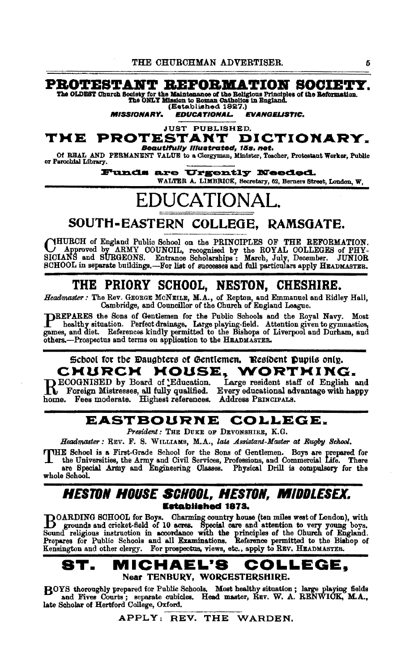### **PROTESTANT REFORMATION SOCIETY.**

The OLDEST Church Society for the Maintenance of the Religious Principles of the Reformation.<br>The ONLY Mission to Roman Catholics in England.<br>(Established 1927.)

**MISSIONARY. EDUCATIONAL. EVANGELISTIC.** 

**JUST PUBLISHED.** 

#### PROTESTANT DICTIONARY. TME **Beautifully Illustrated, 15s. net.**

Of REAL AND PERMANENT VALUE to a Clergyman, Minister, Teacher, Protestant Worker, Public<br>or Farochtal Library.

Funds are Urgently Needed. WALTER A. LIMBRICK, Secretary, 62, Berners Street, London, W,

## **EDUCATIONAL**

## SOUTH-EASTERN COLLEGE. RAMSGATE.

CHURCH of England Public School on the PRINCIPLES OF THE REFORMATION.<br>SICIANS and SURGEONS. Entrance Scholarships: March, July, December. JUNIOR SCHOOL in separate buildings.-For list of successes and full particulars apply HEADMASTER.

## THE PRIORY SCHOOL. NESTON. CHESHIRE.

Headmaster: The Rev. GEORGE MCNEILE, M.A., of Repton, and Emmanuel and Ridley Hall, Cambridge, and Councillor of the Church of England League.

DREPARES the Sons of Gentlemen for the Public Schools and the Royal Navy. Most healthy situation. Perfect drainage. Large playing-field. Attention given to gymnastics. games, and diet. References kindly permitted to the Bishops of Liverpool and Durham, and others.-Prospectus and terms on application to the HEADMASTER.

#### School for the Daughters of Gentlemen, Resident Pupils only. **HOUSE,** CMURCM WORTHING.

ECOGNISED by Board of Education. home. Fees moderate. Highest references. Address PRINCIPALS.

Large resident staff of English and Foreign Mistresses, all fully qualified. Every educational advantage with happy

## EASTBOURNE COLLEGE.

President: THE DUKE OF DEVONSHIRE, K.G.

Headmaster: REV. F. S. WILLIAMS, M.A., late Assistant-Master at Rugby School.

VHE School is a First-Grade School for the Sons of Gentlemen. Boys are prepared for the Universities, the Army and Civil Services, Professions, and Commercial Life. There are Special Army and Engineering Classes. Physical Drill is compulsory for the whole School.

### Heston House School. Heston. Middlesex. **Established 1873.**

DOARDING SCHOOL for Boys. Charming country house (ten miles west of London), with B grounds and cricket-field of 10 acres. Special care and attention to very young boys.<br>Sound religious instruction in accordance with the principles of the Church of England.<br>Prepares for Public Schools and all Examinatio Kensington and other clergy. For prospectus, views, etc., apply to REV. HEADMASTER.

#### MICHAEL'S 8T. COLLEGE, Near TENBURY, WORCESTERSHIRE.

BOYS thoroughly prepared for Public Schools. Most healthy situation; large playing fields and Fives Courts; separate cubicles. Head master, REV. W. A. RENWICK, M.A., late Scholar of Hertford College, Oxford.

APPLY: REV. THE WARDEN.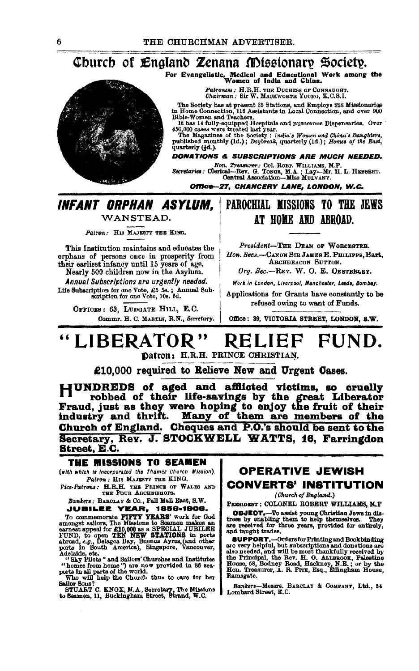## Church of England Zenana Missionary Society.

For Evangelistic, Medical and Educational Work among the<br>Women of India and China.

Patroness : H.R.H. THE DUCHESS OF CONNAUGHT.<br>Chairman : Sir W. MACKWORTH YOUNG, K.C.S.I.

The Society has at present 65 Stations, and Employs 228 Missionaries<br>in Home Connection, 116 Assistants in Local Connection, and over 900<br>Bible-Women and Teachers.

nue-women and readers.<br>
It has 14 fully-equipped Hospitals and numerous Dispensaries. Over<br>
450,000 cases were treated last year.<br>
The Magazines of the Society: *India's Women and China's Daughters*,<br>
The Magazines of the

quarterly (1d.).

**DONATIONS & SUBSCRIPTIONS ARE MUCH NEEDED.** 

Hon, Treasurer: Col. ROBT. WILLIAMS, M.P.<br>Secretaries: Olerical—Rev. G. TONGR, M.A.; Lay---Mr. H. L. HEBBERT.<br>Central Association—Miss MULVANY.

Office-27. CHANCERY LANE, LONDON, W.C.

### **INFANT ORPHAN ASYLUM.** WANSTEAD.

Patron: HIS MAJESTY THE KING.

This Institution maintains and educates the orphans of persons once in prosperity from<br>their earliest infancy until 15 years of age.

Nearly 500 children now in the Asylum. Annual Subscriptions are urgently needed.

Life Subscription for one Vote, £5 5s.; Annual Sub-<br>scription for one Vote, £5 5s.; Annual Sub-<br>scription for one Vote, 10s. 6d.

OFFICES: 63, LUDGATE HILL, E.C. Commr. H. C. MARTIN, R.N., Secretary.

## PAROCHIAL MISSIONS TO THE JEWS AT HOME AND ABROAD.

President-THE DEAN OF WORCESTER. Hon. Secs.-CANON SIR JAMES E. PHILIPPS, Bart, ARCHDEACON SUTTON.

Org. Sec.-REV. W. O. E. OESTERLEY.

Work in London, Liverpool, Manchester, Leeds, Bombay,

Applications for Grants have constantly to be refused owing to want of Funds.

Office: 39. VICTORIA STREET, LONDON, S.W.

#### "LIBERATOR" FUND. **RELIEF** Datron: H.R.H. PRINCE CHRISTIAN.

£10.000 required to Relieve New and Urgent Cases.

HUNDREDS of aged and afflicted victims, so cruelly The robbed of their life-savings by the great Liberator<br>Fraud, just as they were hoping to enjoy the fruit of their<br>industry and thrift. Many of them are members of the Church of England. Cheques and P.O.'s should be sent to the Secretary, Rev. J. STOCKWELL WATTS, 16, Farringdon Street, E.C.

#### THE MISSIONS TO SEAMEN

(with which is incorporated the Thames Church Mission). Patron: HIS MAJESTY THE KING.

Fice-Patrons: H.R.H. THE PRINCE OF WALES AND THE FOUR ARCHBISHOPS. Bankers : BABOLAY & Co., Pall Mall East, S.W.

**JUBILEE YEAR, 1856-1906.** 

To commemorate **FIFITY YEARS'** work for God<br>amongst saliors, The Missions to Seamen makes an<br>exament appeal for E10,000 as a SPECIAL JUBILEE<br>FIND, to open TEN NEW STATIONS in ports<br>prorts in South America), Singapore, Vanc

"homes from home") are now provided in 86 sea-<br>ports in all parts of the world.<br>Who will help the Church thus to care for her

Sailor Sons?

SAMO SULART C. KNOX, M.A., Secretary, The Missions to Seamen, 11, Buckingham Street, Strand, W.C.

**OPERATIVE JEWISH CONVERTS' INSTITUTION** 

(Church of England.)

PRESIDENT : COLONEL ROBERT WILLIAMS, M.P.

**OBJECT.**-To assist young Christian Jews in distress by enabling them to help themselves. They are received for three years, provided for entirely, and taught trades.

and we see also a series of the superport of the superport of the superport and done and done also needed, and will be most thankfully received by the Pincipal, the Bert H. O. ALLEBOOK, Palestine House, 58, Bodney Road, He Ramsgate.

Bankers-Messrs. BARCLAY & COMPANY, Ltd., 54<br>Lombard Street, E.C.

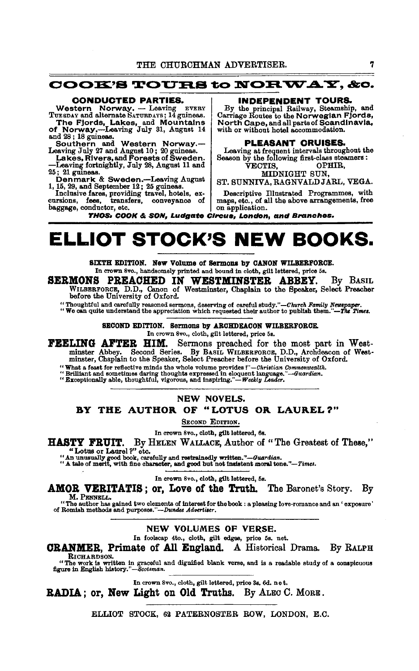### $\mathbf{\textcolor{blue}{COOK}}$ 'S TOURS to  $\mathbf{\textcolor{blue}{NORWAY}},$  &o.

#### CONDUCTED PARTIES.

Western Norway. - Leaving EVERY<br>TUESDAY and alternate SATURDAYS; 14 guineas. The Fjords, Lakes, and Mountains<br>of Norway.—Leaving July 31, August 14

and 28; 18 guineas.

Southern a.nd Western Norway.- Leaving July 27 and August 10; 20 guineas. Lakes, Rlvers,a.nd Forests of Sweden.

-Leaving fortnightly, July 28, August 11 and  $25$ ;  $21$  guineas.

MIDNIGHT SUN, Denmark & Sweden.--Leaving August ST. SUNNIVA, RAGNVALD JARL, VEGA.<br>1, 15, 29, and September 12; 25 guineas.

Inclusive fares, providing travel, hotels, ex- Descriptive Illustrated Programmes, with cursions, fees, transfers, conveyance of maps, etc., of all the above arrangements, free baggage, conductor, etc.

INDEPENDENT TOURS.

By the principal Railway, Steamship, and Carriage Routes to the Norwegian Fjords, North Cape, and all parts of Scandinavia, with or without hotel accommodation.

#### PLEASANT CRUISES.

Leaving at frequent intervals throughout the Season by the following first-class steamers :

VECTIS, OPHIR,

maps, etc., of all the above arrangements, free<br>on application.

THOS• COOK & SON, Ludgate Circus, London, and Branches.

## **ELLIOT STOCK'S NEW BOOKS.**

SIXTH EDITION. New Volume of Sermons by CANON WILBERFORCE. In crown Svo., handsomely printed and bound in cloth, gilt lettered, price 5s.

SERMONS PREACHED IN WESTMINSTER ABBEY. By BASIL WILBERFORCE, D.D., Canon of Westminster, Chaplain to the Speaker, Select Preacher before the University of Oxford.

" Thoughtful and carefully reasoned sermons, deserving of careful study."—*Church Family Newspaper.*<br>" We can quite understand the appreciation which requested their author to publish them."—*The Times*.

SECOND EDITION. Sermons by ARCHDEACON WILBERFORCE. In crown Svo., cloth, gilt lettered, price 5s.

FEELING AFTER HIM. Sermons preached for the most part in Westminster Abbey. Second Series. By BASIL WILBERFORCE, D.D., Archdeacon of West-minster, Chaplain to the Speaker, Select Preacher before the University of Oxford.

" What a feast for reflective minds the whole volume provides !"—Christian Commonwealth.<br>" Brilliant and sometimes daring thoughts expressed in eloquent language."—Guardian.<br>" Exceptionally able, thoughtful, vigorous, and

#### NEW NOVELS.

### BY THE AUTHOR. OF "LOTUS OR. LAUREL?"

SECOND EDITION.

In crown Svo., cloth, gilt lettered, 6s.

HASTY FRUIT. By HELEN WALLACE, Author of "The Greatest of These,"

MOLE FINUSION CONDUCTS OF LAUREL 2014.<br>"Lotus or Laurel ?" etc. "<br>"An unusually good book, carefully and restrainedly written."-Guardian.<br>"A tale of merit, with fine character, and good but not insistent moral tone."-Times

In crown Svo., cloth, gilt lettered, 5s.

AMOR VERITATIS; or, Love of the Truth. The Baronet's Story. By M.PENNELL.

"The author has gained two elements of interest for the book : a pleasing love-romance and an ' exposure' of Romish methods and purposes."-Dundee Advertiser.

#### NEW VOLUMES OF VERSE.

In foolscap 4to., cloth, gilt edges, price 5s. net.

CRANMER, Primate of All England. A Historical Drama. By RALPH

RICHARDSON. "The work is written In graceful and dignified blank verse, and is a readable study of a conspicuous ftgure in English *bistory."-Scot•man.* 

In crown 8vo., cloth, gilt lettered, price 3s. 6d. n e t.

RADIA; or, New Light on Old Truths. By ALEC C. MoRE.

ELLIOT STOCK, 62 PATERNOSTER ROW, LONDON, E.C.